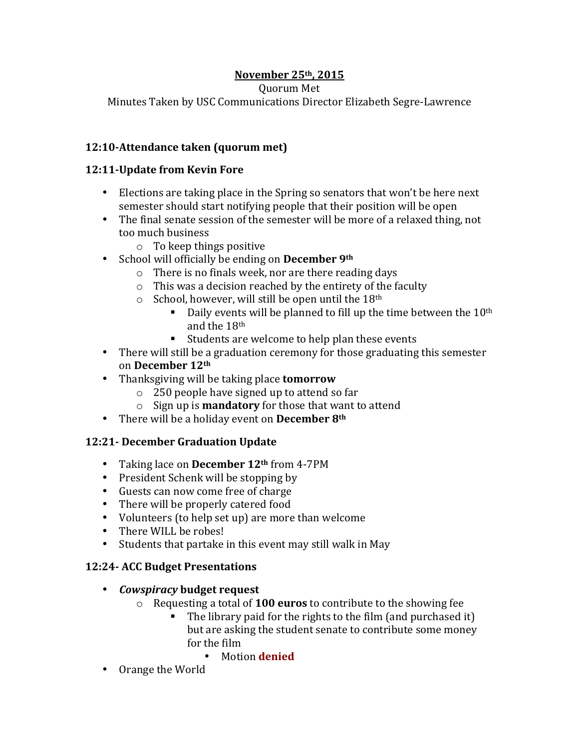# **November 25th, 2015**

Quorum Met

Minutes Taken by USC Communications Director Elizabeth Segre-Lawrence

### **12:10-Attendance taken (quorum met)**

#### **12:11-Update from Kevin Fore**

- Elections are taking place in the Spring so senators that won't be here next semester should start notifying people that their position will be open
- The final senate session of the semester will be more of a relaxed thing, not too much business
	- $\circ$  To keep things positive
- School will officially be ending on **December** 9<sup>th</sup>
	- $\circ$  There is no finals week, nor are there reading days
	- $\circ$  This was a decision reached by the entirety of the faculty
	- $\circ$  School, however, will still be open until the 18<sup>th</sup>
		- Daily events will be planned to fill up the time between the  $10<sup>th</sup>$ and the 18<sup>th</sup>
		- $\blacksquare$  Students are welcome to help plan these events
- There will still be a graduation ceremony for those graduating this semester on **December 12th**
- Thanksgiving will be taking place **tomorrow** 
	- $\circ$  250 people have signed up to attend so far
	- o Sign up is **mandatory** for those that want to attend
- There will be a holiday event on **December** 8<sup>th</sup>

## **12:21- December Graduation Update**

- Taking lace on **December 12th** from 4-7PM
- President Schenk will be stopping by
- Guests can now come free of charge
- There will be properly catered food
- Volunteers (to help set up) are more than welcome
- There WILL be robes!
- Students that partake in this event may still walk in May

## **12:24- ACC Budget Presentations**

- *Cowspiracy* **budget request**
	- o Requesting a total of **100 euros** to contribute to the showing fee
		- $\blacksquare$  The library paid for the rights to the film (and purchased it) but are asking the student senate to contribute some money for the film
			- Motion **denied**
- Orange the World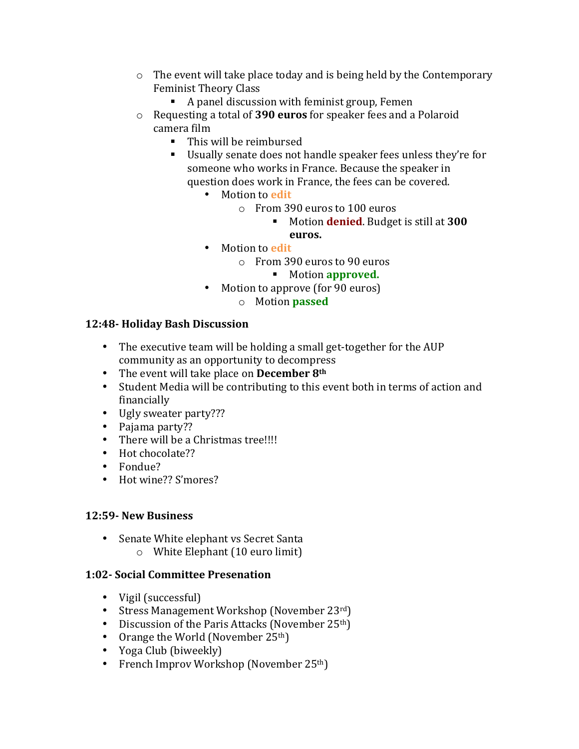- $\circ$  The event will take place today and is being held by the Contemporary Feminist Theory Class
	- $\blacksquare$  A panel discussion with feminist group, Femen
- o Requesting a total of **390 euros** for speaker fees and a Polaroid camera film
	- This will be reimbursed
	- Usually senate does not handle speaker fees unless they're for someone who works in France. Because the speaker in question does work in France, the fees can be covered.
		- Motion to **edit** 
			- o From 390 euros to 100 euros
				- **.** Motion **denied**. Budget is still at **300**
				- **euros.**
		- Motion to **edit** 
			- $\circ$  From 390 euros to 90 euros
				- **E** Motion **approved.**
		- Motion to approve (for 90 euros)
			- o Motion **passed**

### **12:48- Holiday Bash Discussion**

- The executive team will be holding a small get-together for the AUP community as an opportunity to decompress
- The event will take place on **December** 8<sup>th</sup>
- Student Media will be contributing to this event both in terms of action and financially
- Ugly sweater party???
- Pajama party??
- There will be a Christmas tree!!!!
- Hot chocolate??
- Fondue?
- Hot wine?? S'mores?

### **12:59- New Business**

- Senate White elephant vs Secret Santa
	- $\circ$  White Elephant (10 euro limit)

### **1:02- Social Committee Presenation**

- Vigil (successful)
- Stress Management Workshop (November  $23^{rd}$ )
- Discussion of the Paris Attacks (November  $25<sup>th</sup>$ )
- Orange the World (November  $25<sup>th</sup>$ )
- Yoga Club (biweekly)
- French Improv Workshop (November 25<sup>th</sup>)